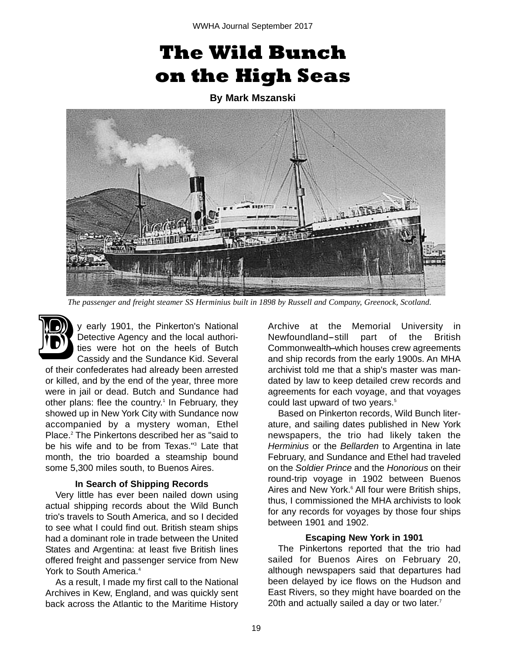# **The Wild Bunch on the High Seas**

**By Mark Mszanski** 



*The passenger and freight steamer SS Herminius built in 1898 by Russell and Company, Greenock, Scotland.*

y early 1901, the Pinkerton's National Detective Agency and the local authorities were hot on the heels of Butch Cassidy and the Sundance Kid. Several B

of their confederates had already been arrested or killed, and by the end of the year, three more were in jail or dead. Butch and Sundance had other plans: flee the country.<sup>1</sup> In February, they showed up in New York City with Sundance now accompanied by a mystery woman, Ethel Place.2 The Pinkertons described her as "said to be his wife and to be from Texas."<sup>3</sup> Late that month, the trio boarded a steamship bound some 5,300 miles south, to Buenos Aires.

## **In Search of Shipping Records**

Very little has ever been nailed down using actual shipping records about the Wild Bunch trio's travels to South America, and so I decided to see what I could find out. British steam ships had a dominant role in trade between the United States and Argentina: at least five British lines offered freight and passenger service from New York to South America.<sup>4</sup>

As a result, I made my first call to the National Archives in Kew, England, and was quickly sent back across the Atlantic to the Maritime History

Archive at the Memorial University in Newfoundland-still part of the British Commonwealth-which houses crew agreements and ship records from the early 1900s. An MHA archivist told me that a ship's master was mandated by law to keep detailed crew records and agreements for each voyage, and that voyages could last upward of two years.<sup>5</sup>

Based on Pinkerton records, Wild Bunch literature, and sailing dates published in New York newspapers, the trio had likely taken the *Herminius* or the *Bellarden* to Argentina in late February, and Sundance and Ethel had traveled on the *Soldier Prince* and the *Honorious* on their round-trip voyage in 1902 between Buenos Aires and New York.<sup>6</sup> All four were British ships, thus, I commissioned the MHA archivists to look for any records for voyages by those four ships between 1901 and 1902.

## **Escaping New York in 1901**

The Pinkertons reported that the trio had sailed for Buenos Aires on February 20, although newspapers said that departures had been delayed by ice flows on the Hudson and East Rivers, so they might have boarded on the 20th and actually sailed a day or two later.<sup>7</sup>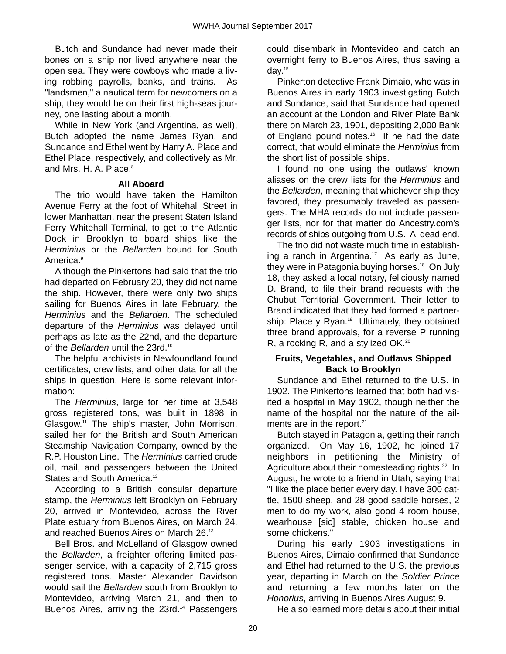Butch and Sundance had never made their bones on a ship nor lived anywhere near the open sea. They were cowboys who made a living robbing payrolls, banks, and trains. As "landsmen," a nautical term for newcomers on a ship, they would be on their first high-seas journey, one lasting about a month.

While in New York (and Argentina, as well), Butch adopted the name James Ryan, and Sundance and Ethel went by Harry A. Place and Ethel Place, respectively, and collectively as Mr. and Mrs. H. A. Place.<sup>8</sup>

# **All Aboard**

The trio would have taken the Hamilton Avenue Ferry at the foot of Whitehall Street in lower Manhattan, near the present Staten Island Ferry Whitehall Terminal, to get to the Atlantic Dock in Brooklyn to board ships like the *Herminius* or the *Bellarden* bound for South America.9

Although the Pinkertons had said that the trio had departed on February 20, they did not name the ship. However, there were only two ships sailing for Buenos Aires in late February, the *Herminius* and the *Bellarden*. The scheduled departure of the *Herminius* was delayed until perhaps as late as the 22nd, and the departure of the *Bellarden* until the 23rd.10

The helpful archivists in Newfoundland found certificates, crew lists, and other data for all the ships in question. Here is some relevant information:

The *Herminius*, large for her time at 3,548 gross registered tons, was built in 1898 in Glasgow.11 The ship's master, John Morrison, sailed her for the British and South American Steamship Navigation Company, owned by the R.P. Houston Line. The *Herminius* carried crude oil, mail, and passengers between the United States and South America.<sup>12</sup>

According to a British consular departure stamp, the *Herminius* left Brooklyn on February 20, arrived in Montevideo, across the River Plate estuary from Buenos Aires, on March 24, and reached Buenos Aires on March 26.13

Bell Bros. and McLelland of Glasgow owned the *Bellarden*, a freighter offering limited passenger service, with a capacity of 2,715 gross registered tons. Master Alexander Davidson would sail the *Bellarden* south from Brooklyn to Montevideo, arriving March 21, and then to Buenos Aires, arriving the 23rd.<sup>14</sup> Passengers

could disembark in Montevideo and catch an overnight ferry to Buenos Aires, thus saving a day.15

Pinkerton detective Frank Dimaio, who was in Buenos Aires in early 1903 investigating Butch and Sundance, said that Sundance had opened an account at the London and River Plate Bank there on March 23, 1901, depositing 2,000 Bank of England pound notes.<sup>16</sup> If he had the date correct, that would eliminate the *Herminius* from the short list of possible ships.

I found no one using the outlaws' known aliases on the crew lists for the *Herminius* and the *Bellarden*, meaning that whichever ship they favored, they presumably traveled as passengers. The MHA records do not include passenger lists, nor for that matter do Ancestry.com's records of ships outgoing from U.S. A dead end.

The trio did not waste much time in establishing a ranch in Argentina.<sup>17</sup> As early as June, they were in Patagonia buying horses.<sup>18</sup> On July 18, they asked a local notary, feliciously named D. Brand, to file their brand requests with the Chubut Territorial Government. Their letter to Brand indicated that they had formed a partnership: Place y Ryan.<sup>19</sup> Ultimately, they obtained three brand approvals, for a reverse P running R, a rocking R, and a stylized OK.<sup>20</sup>

# **Fruits, Vegetables, and Outlaws Shipped Back to Brooklyn**

Sundance and Ethel returned to the U.S. in 1902. The Pinkertons learned that both had visited a hospital in May 1902, though neither the name of the hospital nor the nature of the ailments are in the report.<sup>21</sup>

Butch stayed in Patagonia, getting their ranch organized. On May 16, 1902, he joined 17 neighbors in petitioning the Ministry of Agriculture about their homesteading rights.<sup>22</sup> In August, he wrote to a friend in Utah, saying that "I like the place better every day. I have 300 cattle, 1500 sheep, and 28 good saddle horses, 2 men to do my work, also good 4 room house, wearhouse [sic] stable, chicken house and some chickens."

During his early 1903 investigations in Buenos Aires, Dimaio confirmed that Sundance and Ethel had returned to the U.S. the previous year, departing in March on the *Soldier Prince* and returning a few months later on the *Honorius*, arriving in Buenos Aires August 9.

He also learned more details about their initial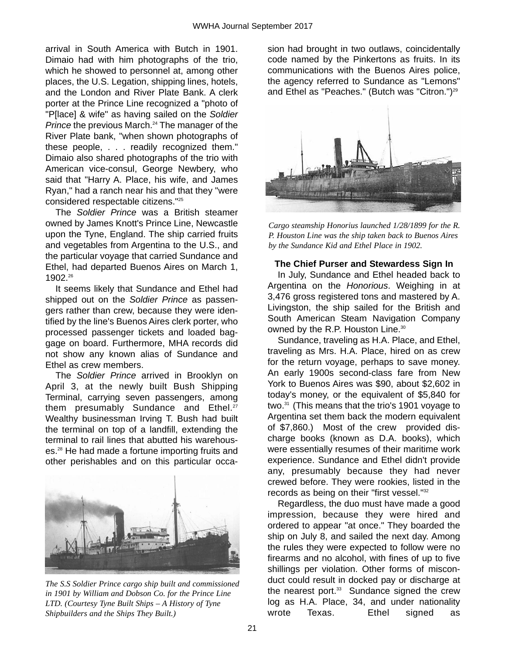arrival in South America with Butch in 1901. Dimaio had with him photographs of the trio, which he showed to personnel at, among other places, the U.S. Legation, shipping lines, hotels, and the London and River Plate Bank. A clerk porter at the Prince Line recognized a "photo of "P[lace] & wife" as having sailed on the *Soldier Prince* the previous March.<sup>24</sup> The manager of the River Plate bank, "when shown photographs of these people, . . . readily recognized them." Dimaio also shared photographs of the trio with American vice-consul, George Newbery, who said that "Harry A. Place, his wife, and James Ryan," had a ranch near his and that they "were considered respectable citizens."25

The *Soldier Prince* was a British steamer owned by James Knott's Prince Line, Newcastle upon the Tyne, England. The ship carried fruits and vegetables from Argentina to the U.S., and the particular voyage that carried Sundance and Ethel, had departed Buenos Aires on March 1, 1902.26

It seems likely that Sundance and Ethel had shipped out on the *Soldier Prince* as passengers rather than crew, because they were identified by the line's Buenos Aires clerk porter, who processed passenger tickets and loaded baggage on board. Furthermore, MHA records did not show any known alias of Sundance and Ethel as crew members.

The *Soldier Prince* arrived in Brooklyn on April 3, at the newly built Bush Shipping Terminal, carrying seven passengers, among them presumably Sundance and Ethel.<sup>27</sup> Wealthy businessman Irving T. Bush had built the terminal on top of a landfill, extending the terminal to rail lines that abutted his warehouses.28 He had made a fortune importing fruits and other perishables and on this particular occa-



*The S.S Soldier Prince cargo ship built and commissioned in 1901 by William and Dobson Co. for the Prince Line LTD. (Courtesy Tyne Built Ships – A History of Tyne Shipbuilders and the Ships They Built.)*

sion had brought in two outlaws, coincidentally code named by the Pinkertons as fruits. In its communications with the Buenos Aires police, the agency referred to Sundance as "Lemons" and Ethel as "Peaches." (Butch was "Citron.") $^{29}$ 



*Cargo steamship Honorius launched 1/28/1899 for the R. P. Houston Line was the ship taken back to Buenos Aires by the Sundance Kid and Ethel Place in 1902.*

#### **The Chief Purser and Stewardess Sign In**

In July, Sundance and Ethel headed back to Argentina on the *Honorious*. Weighing in at 3,476 gross registered tons and mastered by A. Livingston, the ship sailed for the British and South American Steam Navigation Company owned by the R.P. Houston Line.<sup>30</sup>

Sundance, traveling as H.A. Place, and Ethel, traveling as Mrs. H.A. Place, hired on as crew for the return voyage, perhaps to save money. An early 1900s second-class fare from New York to Buenos Aires was \$90, about \$2,602 in today's money, or the equivalent of \$5,840 for two.31 (This means that the trio's 1901 voyage to Argentina set them back the modern equivalent of \$7,860.) Most of the crew provided discharge books (known as D.A. books), which were essentially resumes of their maritime work experience. Sundance and Ethel didn't provide any, presumably because they had never crewed before. They were rookies, listed in the records as being on their "first vessel."32

Regardless, the duo must have made a good impression, because they were hired and ordered to appear "at once." They boarded the ship on July 8, and sailed the next day. Among the rules they were expected to follow were no firearms and no alcohol, with fines of up to five shillings per violation. Other forms of misconduct could result in docked pay or discharge at the nearest port.<sup>33</sup> Sundance signed the crew log as H.A. Place, 34, and under nationality wrote Texas. Ethel signed as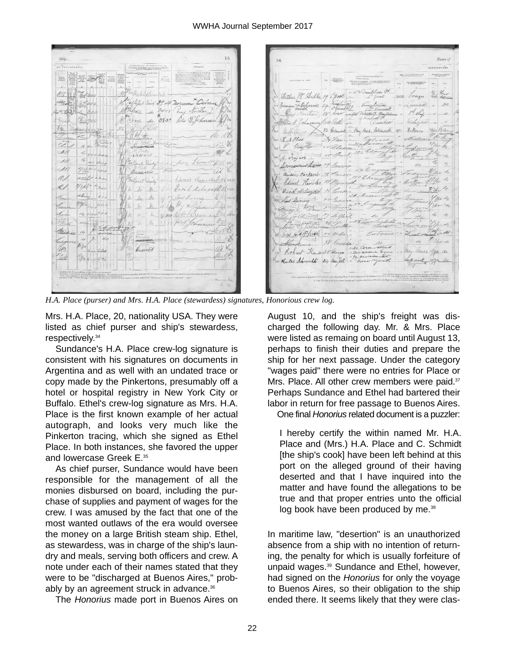$or Xxaxa$ Eng Storkoa 3837 Peter D. Johnna A2 di 42 11  $\mathscr{O}$ Edward Hnouses lour mi  $\mathscr{Q}_{\mathscr{C}}$  $\mathcal{L}$  $-t$  $\lambda$ t. avs. Segerted

*H.A. Place (purser) and Mrs. H.A. Place (stewardess) signatures, Honorious crew log.*

Mrs. H.A. Place, 20, nationality USA. They were listed as chief purser and ship's stewardess, respectively.34

Sundance's H.A. Place crew-log signature is consistent with his signatures on documents in Argentina and as well with an undated trace or copy made by the Pinkertons, presumably off a hotel or hospital registry in New York City or Buffalo. Ethel's crew-log signature as Mrs. H.A. Place is the first known example of her actual autograph, and looks very much like the Pinkerton tracing, which she signed as Ethel Place. In both instances, she favored the upper and lowercase Greek E.<sup>35</sup>

As chief purser, Sundance would have been responsible for the management of all the monies disbursed on board, including the purchase of supplies and payment of wages for the crew. I was amused by the fact that one of the most wanted outlaws of the era would oversee the money on a large British steam ship. Ethel, as stewardess, was in charge of the ship's laundry and meals, serving both officers and crew. A note under each of their names stated that they were to be "discharged at Buenos Aires," probably by an agreement struck in advance.<sup>36</sup>

The *Honorius* made port in Buenos Aires on

dward Hoowles David delilogistst.  $\#\phi$  are 20 Robert Ka 035 Gerara Clarles Schmidt 34 hun Jell . August 10, and the ship's freight was discharged the following day. Mr. & Mrs. Place were listed as remaing on board until August 13, perhaps to finish their duties and prepare the ship for her next passage. Under the category "wages paid" there were no entries for Place or Mrs. Place. All other crew members were paid.<sup>37</sup> Perhaps Sundance and Ethel had bartered their labor in return for free passage to Buenos Aires.

 $\mathcal{U}_n$ 

illo

32 Rue

One final *Honorius* related document is a puzzler:

I hereby certify the within named Mr. H.A. Place and (Mrs.) H.A. Place and C. Schmidt [the ship's cook] have been left behind at this port on the alleged ground of their having deserted and that I have inquired into the matter and have found the allegations to be true and that proper entries unto the official log book have been produced by me.<sup>38</sup>

In maritime law, "desertion" is an unauthorized absence from a ship with no intention of returning, the penalty for which is usually forfeiture of unpaid wages.<sup>39</sup> Sundance and Ethel, however, had signed on the *Honorius* for only the voyage to Buenos Aires, so their obligation to the ship ended there. It seems likely that they were clas-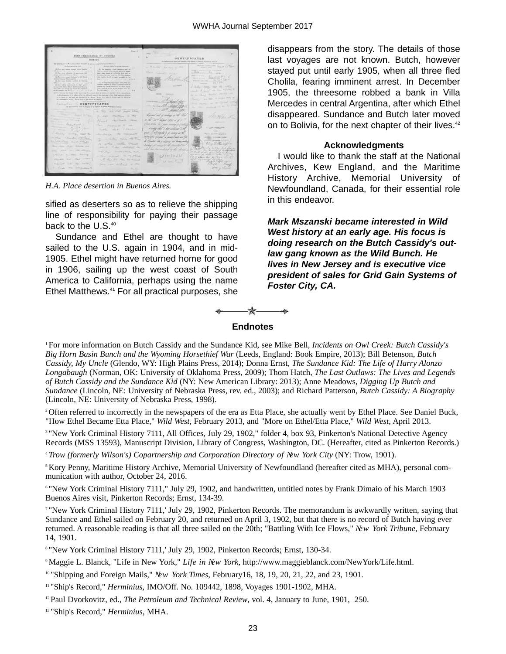

*H.A. Place desertion in Buenos Aires.*

sified as deserters so as to relieve the shipping line of responsibility for paying their passage back to the U.S.<sup>40</sup>

Sundance and Ethel are thought to have sailed to the U.S. again in 1904, and in mid-1905. Ethel might have returned home for good in 1906, sailing up the west coast of South America to California, perhaps using the name Ethel Matthews.<sup>41</sup> For all practical purposes, she

disappears from the story. The details of those last voyages are not known. Butch, however stayed put until early 1905, when all three fled Cholila, fearing imminent arrest. In December 1905, the threesome robbed a bank in Villa Mercedes in central Argentina, after which Ethel disappeared. Sundance and Butch later moved on to Bolivia, for the next chapter of their lives.<sup>42</sup>

#### **Acknowledgments**

I would like to thank the staff at the National Archives, Kew England, and the Maritime History Archive, Memorial University of Newfoundland, Canada, for their essential role in this endeavor.

*Mark Mszanski became interested in Wild West history at an early age. His focus is doing research on the Butch Cassidy's outlaw gang known as the Wild Bunch. He lives in New Jersey and is executive vice president of sales for Grid Gain Systems of Foster City, CA.* 



#### **Endnotes**

1 For more information on Butch Cassidy and the Sundance Kid, see Mike Bell, *Incidents on Owl Creek: Butch Cassidy's Big Horn Basin Bunch and the Wyoming Horsethief War* (Leeds, England: Book Empire, 2013); Bill Betenson, *Butch Cassidy, My Uncle* (Glendo, WY: High Plains Press, 2014); Donna Ernst, *The Sundance Kid: The Life of Harry Alonzo Longabaugh* (Norman, OK: University of Oklahoma Press, 2009); Thom Hatch, *The Last Outlaws: The Lives and Legends of Butch Cassidy and the Sundance Kid* (NY: New American Library: 2013); Anne Meadows, *Digging Up Butch and Sundance* (Lincoln, NE: University of Nebraska Press, rev. ed., 2003); and Richard Patterson, *Butch Cassidy: A Biography* (Lincoln, NE: University of Nebraska Press, 1998).

2 Often referred to incorrectly in the newspapers of the era as Etta Place, she actually went by Ethel Place. See Daniel Buck, "How Ethel Became Etta Place," *Wild West*, February 2013, and "More on Ethel/Etta Place," *Wild West*, April 2013.

<sup>3</sup> "New York Criminal History 7111, All Offices, July 29, 1902," folder 4, box 93, Pinkerton's National Detective Agency Records (MSS 13593), Manuscript Division, Library of Congress, Washington, DC. (Hereafter, cited as Pinkerton Records.)

<sup>4</sup>*Trow (formerly Wilson's) Copartnership and Corporation Directory of New York City* (NY: Trow, 1901).

5 Kory Penny, Maritime History Archive, Memorial University of Newfoundland (hereafter cited as MHA), personal communication with author, October 24, 2016.

6 "New York Criminal History 7111," July 29, 1902, and handwritten, untitled notes by Frank Dimaio of his March 1903 Buenos Aires visit, Pinkerton Records; Ernst, 134-39.

7 "New York Criminal History 7111,' July 29, 1902, Pinkerton Records. The memorandum is awkwardly written, saying that Sundance and Ethel sailed on February 20, and returned on April 3, 1902, but that there is no record of Butch having ever returned. A reasonable reading is that all three sailed on the 20th; "Battling With Ice Flows," *New York Tribune*, February 14, 1901.

8 "New York Criminal History 7111,' July 29, 1902, Pinkerton Records; Ernst, 130-34.

9 Maggie L. Blanck, "Life in New York," *Life in New York*, http://www.maggieblanck.com/NewYork/Life.html.

10 "Shipping and Foreign Mails," *New York Times*, February16, 18, 19, 20, 21, 22, and 23, 1901.

11 "Ship's Record," *Herminius*, IMO/Off. No. 109442, 1898, Voyages 1901-1902, MHA.

12 Paul Dvorkovitz, ed., *The Petroleum and Technical Review*, vol. 4, January to June, 1901, 250.

13 "Ship's Record," *Herminius*, MHA.